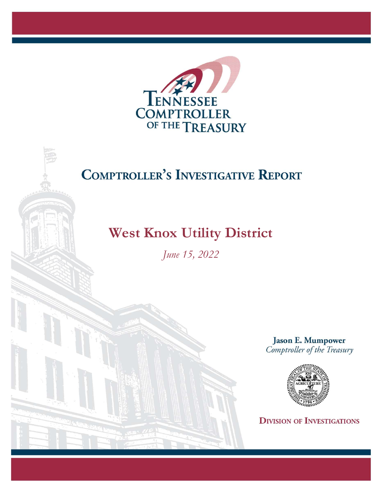

## **COMPTROLLER'S INVESTIGATIVE REPORT**

## West Knox Utility District

June 15, 2022

**Jason E. Mumpower** Comptroller of the Treasury



**DIVISION OF INVESTIGATIONS**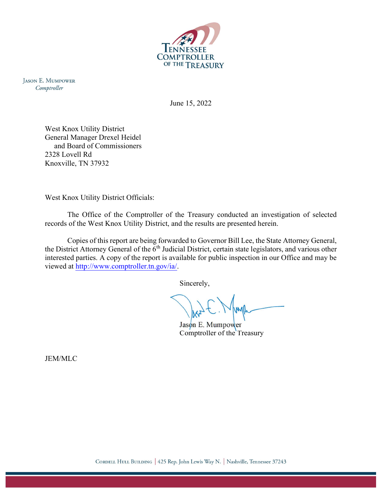

**JASON E. MUMPOWER** Comptroller

June 15, 2022

West Knox Utility District General Manager Drexel Heidel and Board of Commissioners 2328 Lovell Rd Knoxville, TN 37932

West Knox Utility District Officials:

The Office of the Comptroller of the Treasury conducted an investigation of selected records of the West Knox Utility District, and the results are presented herein.

Copies of this report are being forwarded to Governor Bill Lee, the State Attorney General, the District Attorney General of the  $6<sup>th</sup>$  Judicial District, certain state legislators, and various other interested parties. A copy of the report is available for public inspection in our Office and may be viewed at http://www.comptroller.tn.gov/ia/.

Sincerely,

 $J$ as $\phi$ n E. Mumpower Comptroller of the Treasury

JEM/MLC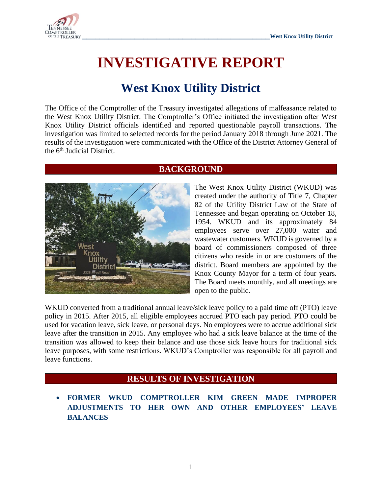

# **INVESTIGATIVE REPORT**

## **West Knox Utility District**

The Office of the Comptroller of the Treasury investigated allegations of malfeasance related to the West Knox Utility District. The Comptroller's Office initiated the investigation after West Knox Utility District officials identified and reported questionable payroll transactions. The investigation was limited to selected records for the period January 2018 through June 2021. The results of the investigation were communicated with the Office of the District Attorney General of the 6<sup>th</sup> Judicial District.



### **BACKGROUND**

The West Knox Utility District (WKUD) was created under the authority of Title 7, Chapter 82 of the Utility District Law of the State of Tennessee and began operating on October 18, 1954. WKUD and its approximately 84 employees serve over 27,000 water and wastewater customers. WKUD is governed by a board of commissioners composed of three citizens who reside in or are customers of the district. Board members are appointed by the Knox County Mayor for a term of four years. The Board meets monthly, and all meetings are open to the public.

WKUD converted from a traditional annual leave/sick leave policy to a paid time off (PTO) leave policy in 2015. After 2015, all eligible employees accrued PTO each pay period. PTO could be used for vacation leave, sick leave, or personal days. No employees were to accrue additional sick leave after the transition in 2015. Any employee who had a sick leave balance at the time of the transition was allowed to keep their balance and use those sick leave hours for traditional sick leave purposes, with some restrictions. WKUD's Comptroller was responsible for all payroll and leave functions.

### **RESULTS OF INVESTIGATION**

• **FORMER WKUD COMPTROLLER KIM GREEN MADE IMPROPER ADJUSTMENTS TO HER OWN AND OTHER EMPLOYEES' LEAVE BALANCES**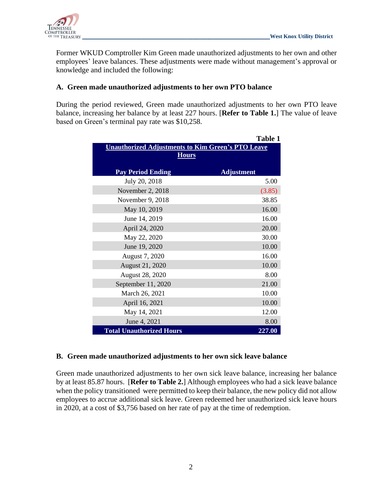

Former WKUD Comptroller Kim Green made unauthorized adjustments to her own and other employees' leave balances. These adjustments were made without management's approval or knowledge and included the following:

#### **A. Green made unauthorized adjustments to her own PTO balance**

During the period reviewed, Green made unauthorized adjustments to her own PTO leave balance, increasing her balance by at least 227 hours. [**Refer to Table 1.**] The value of leave based on Green's terminal pay rate was \$10,258.

|                                                          | <b>Table 1</b>    |
|----------------------------------------------------------|-------------------|
| <b>Unauthorized Adjustments to Kim Green's PTO Leave</b> |                   |
| <b>Hours</b>                                             |                   |
|                                                          |                   |
| <b>Pay Period Ending</b>                                 | <b>Adjustment</b> |
| July 20, 2018                                            | 5.00              |
| November 2, 2018                                         | (3.85)            |
| November 9, 2018                                         | 38.85             |
| May 10, 2019                                             | 16.00             |
| June 14, 2019                                            | 16.00             |
| April 24, 2020                                           | 20.00             |
| May 22, 2020                                             | 30.00             |
| June 19, 2020                                            | 10.00             |
| August 7, 2020                                           | 16.00             |
| <b>August 21, 2020</b>                                   | 10.00             |
| <b>August 28, 2020</b>                                   | 8.00              |
| September 11, 2020                                       | 21.00             |
| March 26, 2021                                           | 10.00             |
| April 16, 2021                                           | 10.00             |
| May 14, 2021                                             | 12.00             |
| June 4, 2021                                             | 8.00              |
| <b>Total Unauthorized Hours</b>                          | 227.00            |

#### **B. Green made unauthorized adjustments to her own sick leave balance**

Green made unauthorized adjustments to her own sick leave balance, increasing her balance by at least 85.87 hours. [**Refer to Table 2.**] Although employees who had a sick leave balance when the policy transitioned were permitted to keep their balance, the new policy did not allow employees to accrue additional sick leave. Green redeemed her unauthorized sick leave hours in 2020, at a cost of \$3,756 based on her rate of pay at the time of redemption.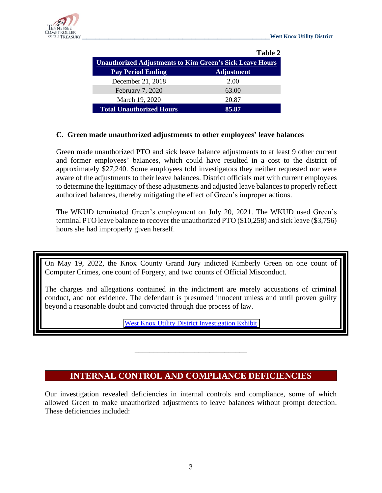

|                                                                 | Table 2           |
|-----------------------------------------------------------------|-------------------|
| <b>Unauthorized Adjustments to Kim Green's Sick Leave Hours</b> |                   |
| <b>Pay Period Ending</b>                                        | <b>Adjustment</b> |
| December 21, 2018                                               | 2.00              |
| February 7, 2020                                                | 63.00             |
| March 19, 2020                                                  | 20.87             |
| <b>Total Unauthorized Hours</b>                                 | 85.87             |

#### **C. Green made unauthorized adjustments to other employees' leave balances**

Green made unauthorized PTO and sick leave balance adjustments to at least 9 other current and former employees' balances, which could have resulted in a cost to the district of approximately \$27,240. Some employees told investigators they neither requested nor were aware of the adjustments to their leave balances. District officials met with current employees to determine the legitimacy of these adjustments and adjusted leave balances to properly reflect authorized balances, thereby mitigating the effect of Green's improper actions.

The WKUD terminated Green's employment on July 20, 2021. The WKUD used Green's terminal PTO leave balance to recover the unauthorized PTO (\$10,258) and sick leave (\$3,756) hours she had improperly given herself.

On May 19, 2022, the Knox County Grand Jury indicted Kimberly Green on one count of Computer Crimes, one count of Forgery, and two counts of Official Misconduct.

The charges and allegations contained in the indictment are merely accusations of criminal conduct, and not evidence. The defendant is presumed innocent unless and until proven guilty beyond a reasonable doubt and convicted through due process of law.

[West Knox Utility District Investigation Exhibit](https://comptroller.tn.gov/content/dam/cot/ia/advanced-search/2022/utilities/WestKnoxUtilityDistrictExhibit.pdf)

### **INTERNAL CONTROL AND COMPLIANCE DEFICIENCIES**

**\_\_\_\_\_\_\_\_\_\_\_\_\_\_\_\_\_\_\_\_\_\_\_\_\_\_\_\_\_\_**

Our investigation revealed deficiencies in internal controls and compliance, some of which allowed Green to make unauthorized adjustments to leave balances without prompt detection. These deficiencies included: